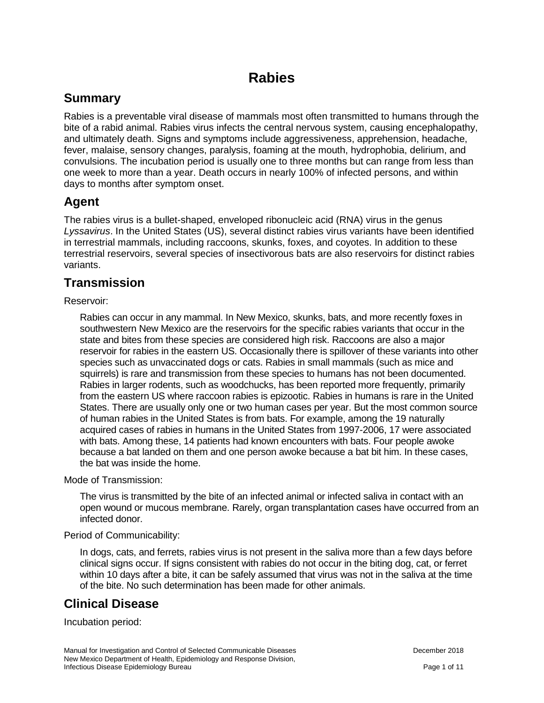# **Rabies**

## **Summary**

Rabies is a preventable viral disease of mammals most often transmitted to humans through the bite of a rabid animal. Rabies virus infects the central nervous system, causing encephalopathy, and ultimately death. Signs and symptoms include aggressiveness, apprehension, headache, fever, malaise, sensory changes, paralysis, foaming at the mouth, hydrophobia, delirium, and convulsions. The incubation period is usually one to three months but can range from less than one week to more than a year. Death occurs in nearly 100% of infected persons, and within days to months after symptom onset.

### **Agent**

The rabies virus is a bullet-shaped, enveloped ribonucleic acid (RNA) virus in the genus *Lyssavirus*. In the United States (US), several distinct rabies virus variants have been identified in terrestrial mammals, including raccoons, skunks, foxes, and coyotes. In addition to these terrestrial reservoirs, several species of insectivorous bats are also reservoirs for distinct rabies variants.

## **Transmission**

Reservoir:

Rabies can occur in any mammal. In New Mexico, skunks, bats, and more recently foxes in southwestern New Mexico are the reservoirs for the specific rabies variants that occur in the state and bites from these species are considered high risk. Raccoons are also a major reservoir for rabies in the eastern US. Occasionally there is spillover of these variants into other species such as unvaccinated dogs or cats. Rabies in small mammals (such as mice and squirrels) is rare and transmission from these species to humans has not been documented. Rabies in larger rodents, such as woodchucks, has been reported more frequently, primarily from the eastern US where raccoon rabies is epizootic. Rabies in humans is rare in the United States. There are usually only one or two human cases per year. But the most common source of human rabies in the United States is from bats. For example, among the 19 naturally acquired cases of rabies in humans in the United States from 1997-2006, 17 were associated with bats. Among these, 14 patients had known encounters with bats. Four people awoke because a bat landed on them and one person awoke because a bat bit him. In these cases, the bat was inside the home.

Mode of Transmission:

The virus is transmitted by the bite of an infected animal or infected saliva in contact with an open wound or mucous membrane. Rarely, organ transplantation cases have occurred from an infected donor.

#### Period of Communicability:

In dogs, cats, and ferrets, rabies virus is not present in the saliva more than a few days before clinical signs occur. If signs consistent with rabies do not occur in the biting dog, cat, or ferret within 10 days after a bite, it can be safely assumed that virus was not in the saliva at the time of the bite. No such determination has been made for other animals.

## **Clinical Disease**

Incubation period: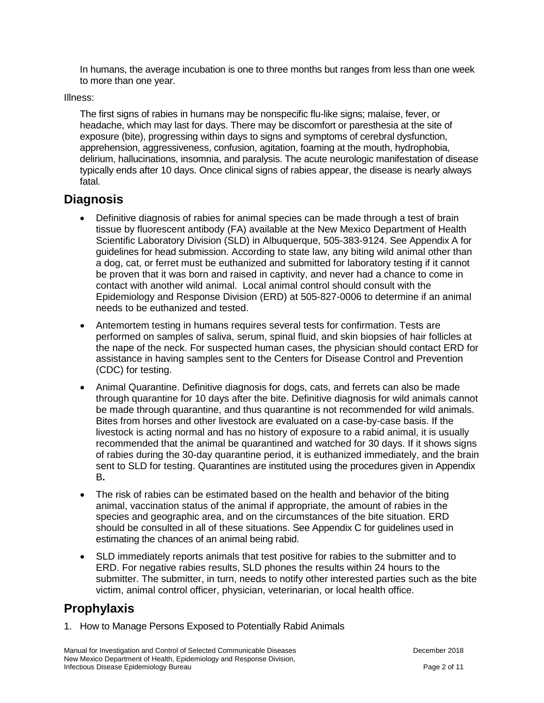In humans, the average incubation is one to three months but ranges from less than one week to more than one year.

Illness:

The first signs of rabies in humans may be nonspecific flu-like signs; malaise, fever, or headache, which may last for days. There may be discomfort or paresthesia at the site of exposure (bite), progressing within days to signs and symptoms of cerebral dysfunction, apprehension, aggressiveness, confusion, agitation, foaming at the mouth, hydrophobia, delirium, hallucinations, insomnia, and paralysis. The acute neurologic manifestation of disease typically ends after 10 days. Once clinical signs of rabies appear, the disease is nearly always fatal.

## **Diagnosis**

- Definitive diagnosis of rabies for animal species can be made through a test of brain tissue by fluorescent antibody (FA) available at the New Mexico Department of Health Scientific Laboratory Division (SLD) in Albuquerque, 505-383-9124. See Appendix A for guidelines for head submission. According to state law, any biting wild animal other than a dog, cat, or ferret must be euthanized and submitted for laboratory testing if it cannot be proven that it was born and raised in captivity, and never had a chance to come in contact with another wild animal. Local animal control should consult with the Epidemiology and Response Division (ERD) at 505-827-0006 to determine if an animal needs to be euthanized and tested.
- Antemortem testing in humans requires several tests for confirmation. Tests are performed on samples of saliva, serum, spinal fluid, and skin biopsies of hair follicles at the nape of the neck. For suspected human cases, the physician should contact ERD for assistance in having samples sent to the Centers for Disease Control and Prevention (CDC) for testing.
- Animal Quarantine. Definitive diagnosis for dogs, cats, and ferrets can also be made through quarantine for 10 days after the bite. Definitive diagnosis for wild animals cannot be made through quarantine, and thus quarantine is not recommended for wild animals. Bites from horses and other livestock are evaluated on a case-by-case basis. If the livestock is acting normal and has no history of exposure to a rabid animal, it is usually recommended that the animal be quarantined and watched for 30 days. If it shows signs of rabies during the 30-day quarantine period, it is euthanized immediately, and the brain sent to SLD for testing. Quarantines are instituted using the procedures given in Appendix B**.**
- The risk of rabies can be estimated based on the health and behavior of the biting animal, vaccination status of the animal if appropriate, the amount of rabies in the species and geographic area, and on the circumstances of the bite situation. ERD should be consulted in all of these situations. See Appendix C for guidelines used in estimating the chances of an animal being rabid.
- SLD immediately reports animals that test positive for rabies to the submitter and to ERD. For negative rabies results, SLD phones the results within 24 hours to the submitter. The submitter, in turn, needs to notify other interested parties such as the bite victim, animal control officer, physician, veterinarian, or local health office.

## **Prophylaxis**

1. How to Manage Persons Exposed to Potentially Rabid Animals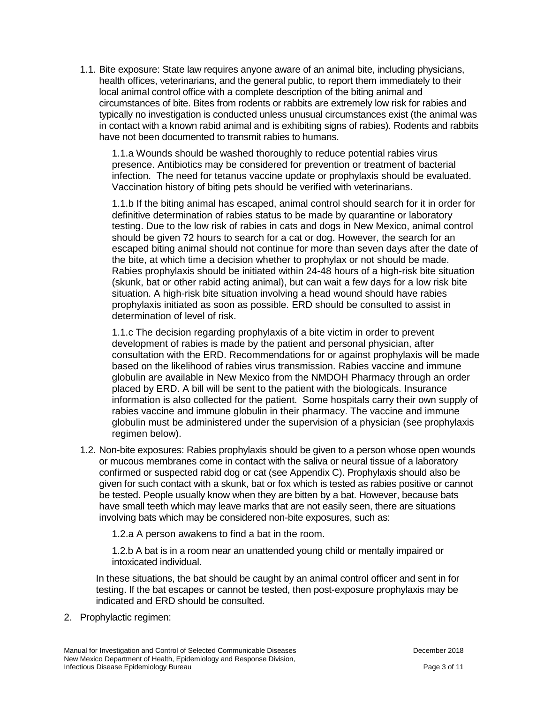1.1. Bite exposure: State law requires anyone aware of an animal bite, including physicians, health offices, veterinarians, and the general public, to report them immediately to their local animal control office with a complete description of the biting animal and circumstances of bite. Bites from rodents or rabbits are extremely low risk for rabies and typically no investigation is conducted unless unusual circumstances exist (the animal was in contact with a known rabid animal and is exhibiting signs of rabies). Rodents and rabbits have not been documented to transmit rabies to humans.

1.1.a Wounds should be washed thoroughly to reduce potential rabies virus presence. Antibiotics may be considered for prevention or treatment of bacterial infection. The need for tetanus vaccine update or prophylaxis should be evaluated. Vaccination history of biting pets should be verified with veterinarians.

1.1.b If the biting animal has escaped, animal control should search for it in order for definitive determination of rabies status to be made by quarantine or laboratory testing. Due to the low risk of rabies in cats and dogs in New Mexico, animal control should be given 72 hours to search for a cat or dog. However, the search for an escaped biting animal should not continue for more than seven days after the date of the bite, at which time a decision whether to prophylax or not should be made. Rabies prophylaxis should be initiated within 24-48 hours of a high-risk bite situation (skunk, bat or other rabid acting animal), but can wait a few days for a low risk bite situation. A high-risk bite situation involving a head wound should have rabies prophylaxis initiated as soon as possible. ERD should be consulted to assist in determination of level of risk.

1.1.c The decision regarding prophylaxis of a bite victim in order to prevent development of rabies is made by the patient and personal physician, after consultation with the ERD. Recommendations for or against prophylaxis will be made based on the likelihood of rabies virus transmission. Rabies vaccine and immune globulin are available in New Mexico from the NMDOH Pharmacy through an order placed by ERD. A bill will be sent to the patient with the biologicals. Insurance information is also collected for the patient. Some hospitals carry their own supply of rabies vaccine and immune globulin in their pharmacy. The vaccine and immune globulin must be administered under the supervision of a physician (see prophylaxis regimen below).

1.2. Non-bite exposures: Rabies prophylaxis should be given to a person whose open wounds or mucous membranes come in contact with the saliva or neural tissue of a laboratory confirmed or suspected rabid dog or cat (see Appendix C). Prophylaxis should also be given for such contact with a skunk, bat or fox which is tested as rabies positive or cannot be tested. People usually know when they are bitten by a bat. However, because bats have small teeth which may leave marks that are not easily seen, there are situations involving bats which may be considered non-bite exposures, such as:

1.2.a A person awakens to find a bat in the room.

1.2.b A bat is in a room near an unattended young child or mentally impaired or intoxicated individual.

In these situations, the bat should be caught by an animal control officer and sent in for testing. If the bat escapes or cannot be tested, then post-exposure prophylaxis may be indicated and ERD should be consulted.

2. Prophylactic regimen: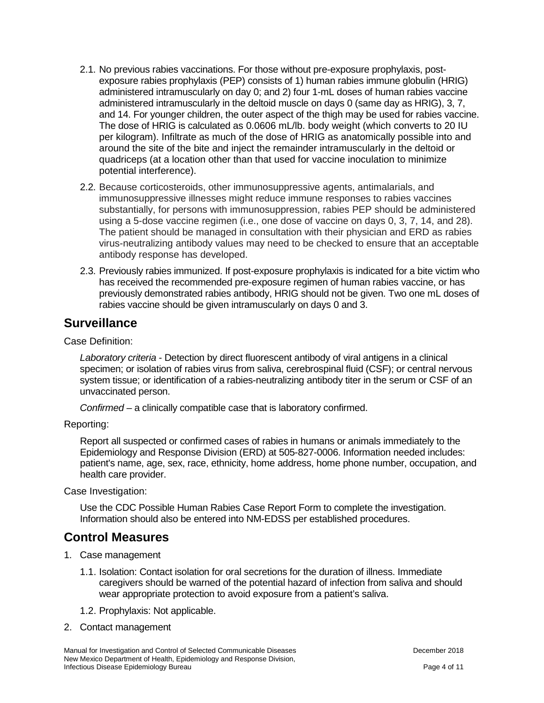- 2.1. No previous rabies vaccinations. For those without pre-exposure prophylaxis, postexposure rabies prophylaxis (PEP) consists of 1) human rabies immune globulin (HRIG) administered intramuscularly on day 0; and 2) four 1-mL doses of human rabies vaccine administered intramuscularly in the deltoid muscle on days 0 (same day as HRIG), 3, 7, and 14. For younger children, the outer aspect of the thigh may be used for rabies vaccine. The dose of HRIG is calculated as 0.0606 mL/lb. body weight (which converts to 20 IU per kilogram). Infiltrate as much of the dose of HRIG as anatomically possible into and around the site of the bite and inject the remainder intramuscularly in the deltoid or quadriceps (at a location other than that used for vaccine inoculation to minimize potential interference).
- 2.2. Because corticosteroids, other immunosuppressive agents, antimalarials, and immunosuppressive illnesses might reduce immune responses to rabies vaccines substantially, for persons with immunosuppression, rabies PEP should be administered using a 5-dose vaccine regimen (i.e., one dose of vaccine on days 0, 3, 7, 14, and 28). The patient should be managed in consultation with their physician and ERD as rabies virus-neutralizing antibody values may need to be checked to ensure that an acceptable antibody response has developed.
- 2.3. Previously rabies immunized. If post-exposure prophylaxis is indicated for a bite victim who has received the recommended pre-exposure regimen of human rabies vaccine, or has previously demonstrated rabies antibody, HRIG should not be given. Two one mL doses of rabies vaccine should be given intramuscularly on days 0 and 3.

### **Surveillance**

Case Definition:

*Laboratory criteria* - Detection by direct fluorescent antibody of viral antigens in a clinical specimen; or isolation of rabies virus from saliva, cerebrospinal fluid (CSF); or central nervous system tissue; or identification of a rabies-neutralizing antibody titer in the serum or CSF of an unvaccinated person.

*Confirmed* – a clinically compatible case that is laboratory confirmed.

Reporting:

Report all suspected or confirmed cases of rabies in humans or animals immediately to the Epidemiology and Response Division (ERD) at 505-827-0006. Information needed includes: patient's name, age, sex, race, ethnicity, home address, home phone number, occupation, and health care provider.

Case Investigation:

Use the CDC Possible Human Rabies Case Report Form to complete the investigation. Information should also be entered into NM-EDSS per established procedures.

### **Control Measures**

- 1. Case management
	- 1.1. Isolation: Contact isolation for oral secretions for the duration of illness. Immediate caregivers should be warned of the potential hazard of infection from saliva and should wear appropriate protection to avoid exposure from a patient's saliva.
	- 1.2. Prophylaxis: Not applicable.
- 2. Contact management

Manual for Investigation and Control of Selected Communicable Diseases **December 2018** December 2018 New Mexico Department of Health, Epidemiology and Response Division, Infectious Disease Epidemiology Bureau Page 4 of 11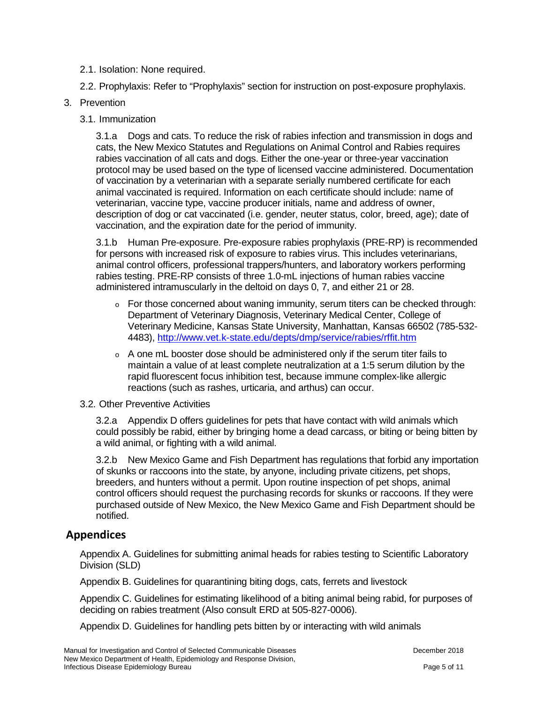- 2.1. Isolation: None required.
- 2.2. Prophylaxis: Refer to "Prophylaxis" section for instruction on post-exposure prophylaxis.
- 3. Prevention
	- 3.1. Immunization

3.1.a Dogs and cats. To reduce the risk of rabies infection and transmission in dogs and cats, the New Mexico Statutes and Regulations on Animal Control and Rabies requires rabies vaccination of all cats and dogs. Either the one-year or three-year vaccination protocol may be used based on the type of licensed vaccine administered. Documentation of vaccination by a veterinarian with a separate serially numbered certificate for each animal vaccinated is required. Information on each certificate should include: name of veterinarian, vaccine type, vaccine producer initials, name and address of owner, description of dog or cat vaccinated (i.e. gender, neuter status, color, breed, age); date of vaccination, and the expiration date for the period of immunity.

3.1.b Human Pre-exposure. Pre-exposure rabies prophylaxis (PRE-RP) is recommended for persons with increased risk of exposure to rabies virus. This includes veterinarians, animal control officers, professional trappers/hunters, and laboratory workers performing rabies testing. PRE-RP consists of three 1.0-mL injections of human rabies vaccine administered intramuscularly in the deltoid on days 0, 7, and either 21 or 28.

- $\circ$  For those concerned about waning immunity, serum titers can be checked through: Department of Veterinary Diagnosis, Veterinary Medical Center, College of Veterinary Medicine, Kansas State University, Manhattan, Kansas 66502 (785-532- 4483),<http://www.vet.k-state.edu/depts/dmp/service/rabies/rffit.htm>
- $\circ$  A one mL booster dose should be administered only if the serum titer fails to maintain a value of at least complete neutralization at a 1:5 serum dilution by the rapid fluorescent focus inhibition test, because immune complex-like allergic reactions (such as rashes, urticaria, and arthus) can occur.
- 3.2. Other Preventive Activities

3.2.a Appendix D offers guidelines for pets that have contact with wild animals which could possibly be rabid, either by bringing home a dead carcass, or biting or being bitten by a wild animal, or fighting with a wild animal.

3.2.b New Mexico Game and Fish Department has regulations that forbid any importation of skunks or raccoons into the state, by anyone, including private citizens, pet shops, breeders, and hunters without a permit. Upon routine inspection of pet shops, animal control officers should request the purchasing records for skunks or raccoons. If they were purchased outside of New Mexico, the New Mexico Game and Fish Department should be notified.

### **Appendices**

Appendix A. Guidelines for submitting animal heads for rabies testing to Scientific Laboratory Division (SLD)

Appendix B. Guidelines for quarantining biting dogs, cats, ferrets and livestock

Appendix C. Guidelines for estimating likelihood of a biting animal being rabid, for purposes of deciding on rabies treatment (Also consult ERD at 505-827-0006).

Appendix D. Guidelines for handling pets bitten by or interacting with wild animals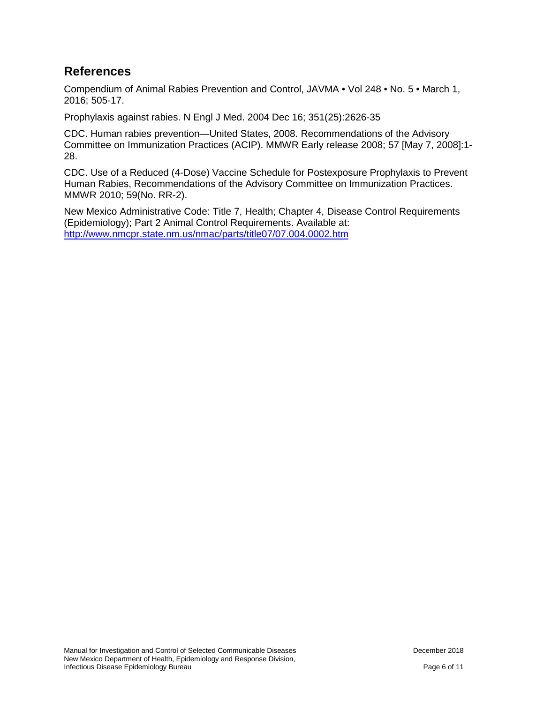### **References**

Compendium of Animal Rabies Prevention and Control, JAVMA • Vol 248 • No. 5 • March 1, 2016; 505-17.

Prophylaxis against rabies. N Engl J Med. 2004 Dec 16; 351(25):2626-35

CDC. Human rabies prevention—United States, 2008. Recommendations of the Advisory Committee on Immunization Practices (ACIP). MMWR Early release 2008; 57 [May 7, 2008]:1- 28.

CDC. Use of a Reduced (4-Dose) Vaccine Schedule for Postexposure Prophylaxis to Prevent Human Rabies, Recommendations of the Advisory Committee on Immunization Practices. MMWR 2010; 59(No. RR-2).

New Mexico Administrative Code: Title 7, Health; Chapter 4, Disease Control Requirements (Epidemiology); Part 2 Animal Control Requirements. Available at: <http://www.nmcpr.state.nm.us/nmac/parts/title07/07.004.0002.htm>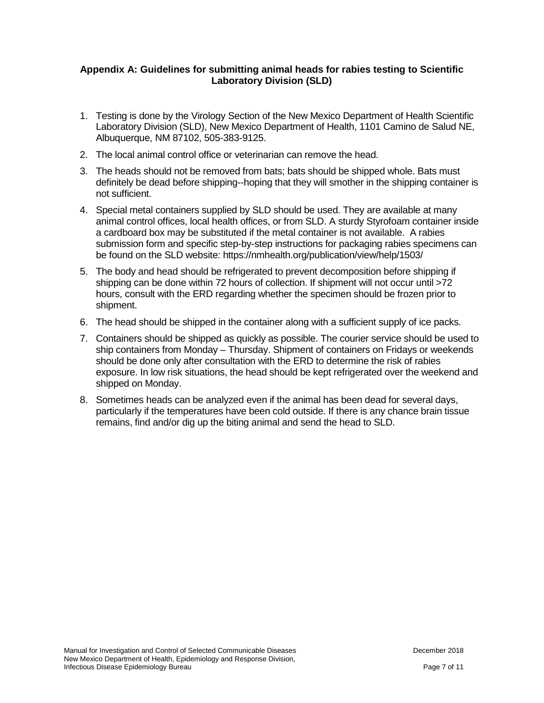#### **Appendix A: Guidelines for submitting animal heads for rabies testing to Scientific Laboratory Division (SLD)**

- 1. Testing is done by the Virology Section of the New Mexico Department of Health Scientific Laboratory Division (SLD), New Mexico Department of Health, 1101 Camino de Salud NE, Albuquerque, NM 87102, 505-383-9125.
- 2. The local animal control office or veterinarian can remove the head.
- 3. The heads should not be removed from bats; bats should be shipped whole. Bats must definitely be dead before shipping--hoping that they will smother in the shipping container is not sufficient.
- 4. Special metal containers supplied by SLD should be used. They are available at many animal control offices, local health offices, or from SLD. A sturdy Styrofoam container inside a cardboard box may be substituted if the metal container is not available. A rabies submission form and specific step-by-step instructions for packaging rabies specimens can be found on the SLD website: https://nmhealth.org/publication/view/help/1503/
- 5. The body and head should be refrigerated to prevent decomposition before shipping if shipping can be done within 72 hours of collection. If shipment will not occur until >72 hours, consult with the ERD regarding whether the specimen should be frozen prior to shipment.
- 6. The head should be shipped in the container along with a sufficient supply of ice packs.
- 7. Containers should be shipped as quickly as possible. The courier service should be used to ship containers from Monday – Thursday. Shipment of containers on Fridays or weekends should be done only after consultation with the ERD to determine the risk of rabies exposure. In low risk situations, the head should be kept refrigerated over the weekend and shipped on Monday.
- 8. Sometimes heads can be analyzed even if the animal has been dead for several days, particularly if the temperatures have been cold outside. If there is any chance brain tissue remains, find and/or dig up the biting animal and send the head to SLD.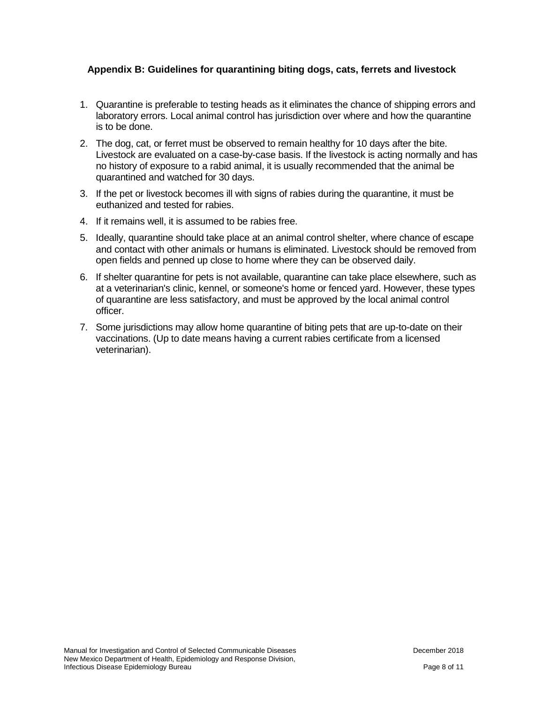#### **Appendix B: Guidelines for quarantining biting dogs, cats, ferrets and livestock**

- 1. Quarantine is preferable to testing heads as it eliminates the chance of shipping errors and laboratory errors. Local animal control has jurisdiction over where and how the quarantine is to be done.
- 2. The dog, cat, or ferret must be observed to remain healthy for 10 days after the bite. Livestock are evaluated on a case-by-case basis. If the livestock is acting normally and has no history of exposure to a rabid animal, it is usually recommended that the animal be quarantined and watched for 30 days.
- 3. If the pet or livestock becomes ill with signs of rabies during the quarantine, it must be euthanized and tested for rabies.
- 4. If it remains well, it is assumed to be rabies free.
- 5. Ideally, quarantine should take place at an animal control shelter, where chance of escape and contact with other animals or humans is eliminated. Livestock should be removed from open fields and penned up close to home where they can be observed daily.
- 6. If shelter quarantine for pets is not available, quarantine can take place elsewhere, such as at a veterinarian's clinic, kennel, or someone's home or fenced yard. However, these types of quarantine are less satisfactory, and must be approved by the local animal control officer.
- 7. Some jurisdictions may allow home quarantine of biting pets that are up-to-date on their vaccinations. (Up to date means having a current rabies certificate from a licensed veterinarian).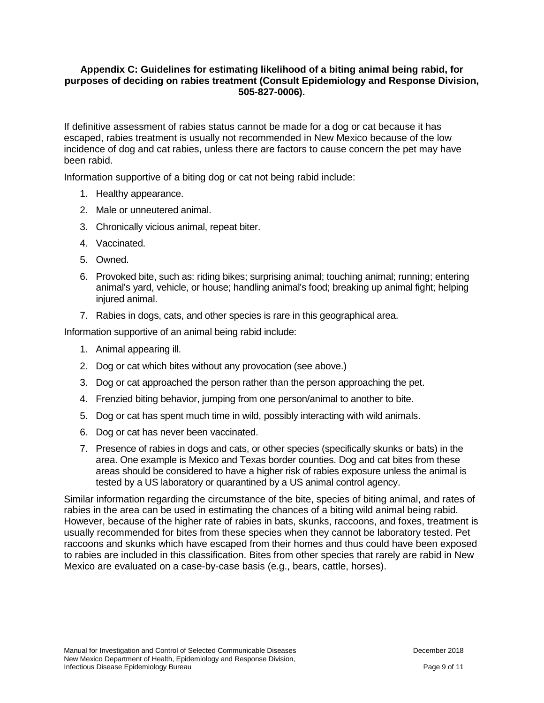#### **Appendix C: Guidelines for estimating likelihood of a biting animal being rabid, for purposes of deciding on rabies treatment (Consult Epidemiology and Response Division, 505-827-0006).**

If definitive assessment of rabies status cannot be made for a dog or cat because it has escaped, rabies treatment is usually not recommended in New Mexico because of the low incidence of dog and cat rabies, unless there are factors to cause concern the pet may have been rabid.

Information supportive of a biting dog or cat not being rabid include:

- 1. Healthy appearance.
- 2. Male or unneutered animal.
- 3. Chronically vicious animal, repeat biter.
- 4. Vaccinated.
- 5. Owned.
- 6. Provoked bite, such as: riding bikes; surprising animal; touching animal; running; entering animal's yard, vehicle, or house; handling animal's food; breaking up animal fight; helping injured animal.
- 7. Rabies in dogs, cats, and other species is rare in this geographical area.

Information supportive of an animal being rabid include:

- 1. Animal appearing ill.
- 2. Dog or cat which bites without any provocation (see above.)
- 3. Dog or cat approached the person rather than the person approaching the pet.
- 4. Frenzied biting behavior, jumping from one person/animal to another to bite.
- 5. Dog or cat has spent much time in wild, possibly interacting with wild animals.
- 6. Dog or cat has never been vaccinated.
- 7. Presence of rabies in dogs and cats, or other species (specifically skunks or bats) in the area. One example is Mexico and Texas border counties. Dog and cat bites from these areas should be considered to have a higher risk of rabies exposure unless the animal is tested by a US laboratory or quarantined by a US animal control agency.

Similar information regarding the circumstance of the bite, species of biting animal, and rates of rabies in the area can be used in estimating the chances of a biting wild animal being rabid. However, because of the higher rate of rabies in bats, skunks, raccoons, and foxes, treatment is usually recommended for bites from these species when they cannot be laboratory tested. Pet raccoons and skunks which have escaped from their homes and thus could have been exposed to rabies are included in this classification. Bites from other species that rarely are rabid in New Mexico are evaluated on a case-by-case basis (e.g., bears, cattle, horses).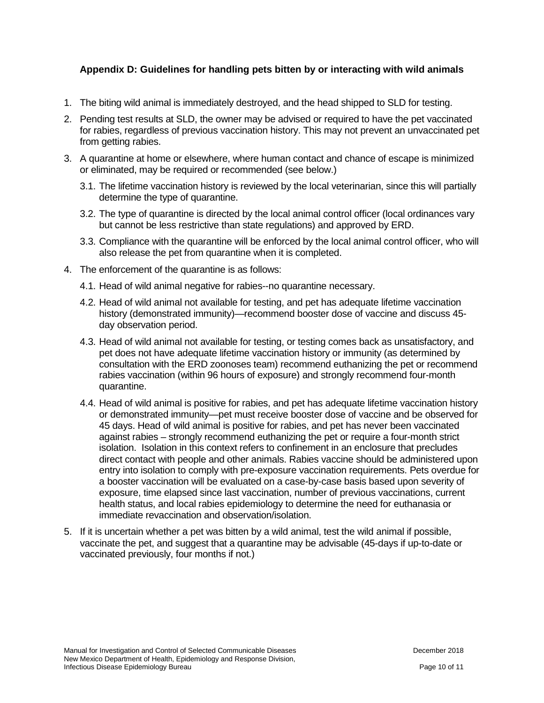#### **Appendix D: Guidelines for handling pets bitten by or interacting with wild animals**

- 1. The biting wild animal is immediately destroyed, and the head shipped to SLD for testing.
- 2. Pending test results at SLD, the owner may be advised or required to have the pet vaccinated for rabies, regardless of previous vaccination history. This may not prevent an unvaccinated pet from getting rabies.
- 3. A quarantine at home or elsewhere, where human contact and chance of escape is minimized or eliminated, may be required or recommended (see below.)
	- 3.1. The lifetime vaccination history is reviewed by the local veterinarian, since this will partially determine the type of quarantine.
	- 3.2. The type of quarantine is directed by the local animal control officer (local ordinances vary but cannot be less restrictive than state regulations) and approved by ERD.
	- 3.3. Compliance with the quarantine will be enforced by the local animal control officer, who will also release the pet from quarantine when it is completed.
- 4. The enforcement of the quarantine is as follows:
	- 4.1. Head of wild animal negative for rabies--no quarantine necessary.
	- 4.2. Head of wild animal not available for testing, and pet has adequate lifetime vaccination history (demonstrated immunity)—recommend booster dose of vaccine and discuss 45 day observation period.
	- 4.3. Head of wild animal not available for testing, or testing comes back as unsatisfactory, and pet does not have adequate lifetime vaccination history or immunity (as determined by consultation with the ERD zoonoses team) recommend euthanizing the pet or recommend rabies vaccination (within 96 hours of exposure) and strongly recommend four-month quarantine.
	- 4.4. Head of wild animal is positive for rabies, and pet has adequate lifetime vaccination history or demonstrated immunity—pet must receive booster dose of vaccine and be observed for 45 days. Head of wild animal is positive for rabies, and pet has never been vaccinated against rabies – strongly recommend euthanizing the pet or require a four-month strict isolation. Isolation in this context refers to confinement in an enclosure that precludes direct contact with people and other animals. Rabies vaccine should be administered upon entry into isolation to comply with pre-exposure vaccination requirements. Pets overdue for a booster vaccination will be evaluated on a case-by-case basis based upon severity of exposure, time elapsed since last vaccination, number of previous vaccinations, current health status, and local rabies epidemiology to determine the need for euthanasia or immediate revaccination and observation/isolation.
- 5. If it is uncertain whether a pet was bitten by a wild animal, test the wild animal if possible, vaccinate the pet, and suggest that a quarantine may be advisable (45-days if up-to-date or vaccinated previously, four months if not.)